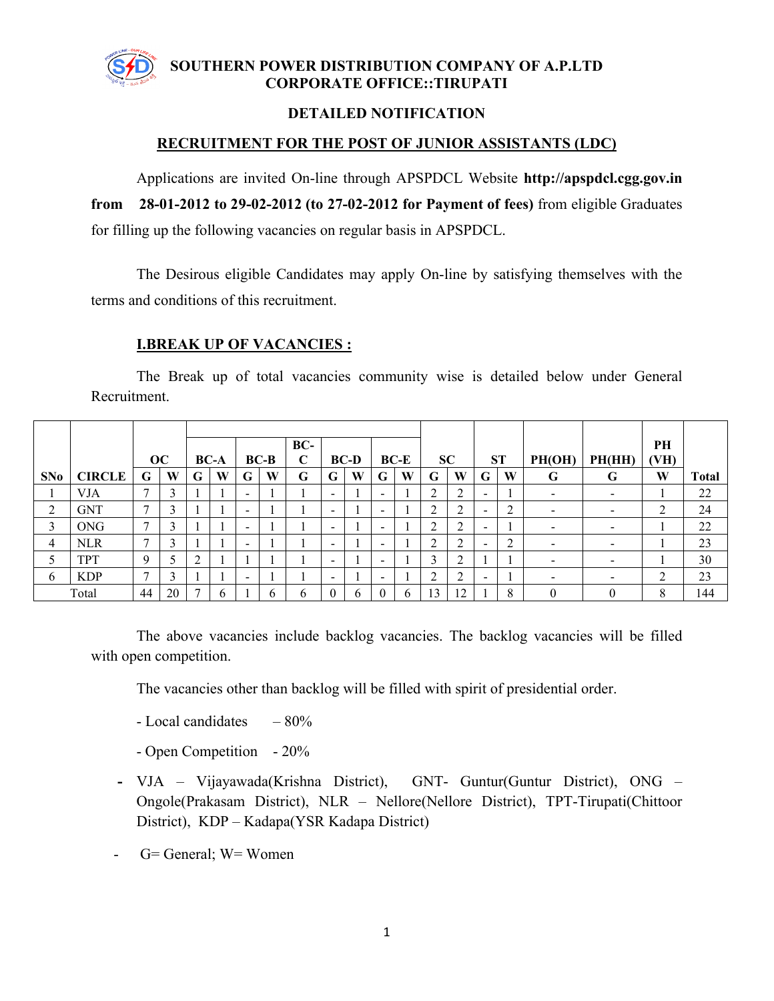

## **SOUTHERN POWER DISTRIBUTION COMPANY OF A.P.LTD CORPORATE OFFICE::TIRUPATI**

## **DETAILED NOTIFICATION**

## **RECRUITMENT FOR THE POST OF JUNIOR ASSISTANTS (LDC)**

Applications are invited On-line through APSPDCL Website **http://apspdcl.cgg.gov.in from 28-01-2012 to 29-02-2012 (to 27-02-2012 for Payment of fees)** from eligible Graduates for filling up the following vacancies on regular basis in APSPDCL.

The Desirous eligible Candidates may apply On-line by satisfying themselves with the terms and conditions of this recruitment.

## **I.BREAK UP OF VACANCIES :**

The Break up of total vacancies community wise is detailed below under General Recruitment.

|                |               | OC            |    |   | <b>BC-A</b>  |                          | $BC-B$ | BC-<br>C |                          | <b>BC-D</b> |                          | $BC-E$ |                                 | SC            |                          | <b>ST</b> | PH(OH)                   | PH(HH)                   | PH<br>(VH)     |              |
|----------------|---------------|---------------|----|---|--------------|--------------------------|--------|----------|--------------------------|-------------|--------------------------|--------|---------------------------------|---------------|--------------------------|-----------|--------------------------|--------------------------|----------------|--------------|
| SNo            | <b>CIRCLE</b> | G             | W  | G | W            | G                        | W      | G        | G                        | W           | G                        | W      | G                               | W             | G                        | W         | G                        | G                        | W              | <b>Total</b> |
|                | <b>VJA</b>    | $\mathcal{I}$ | 3  |   |              | $\,$                     |        |          | $\blacksquare$           |             | -                        |        | 2                               | C<br>∠        | $\overline{\phantom{0}}$ |           | $\blacksquare$           | $\overline{\phantom{a}}$ |                | 22           |
| $\overline{2}$ | <b>GNT</b>    | $\mathcal{I}$ | 3  |   |              | $\overline{\phantom{0}}$ |        |          | $\overline{\phantom{0}}$ |             | $\overline{\phantom{a}}$ |        | $\mathcal{L}$<br>$\overline{ }$ | ◠<br>∠        | $\overline{\phantom{0}}$ | ◠<br>∠    |                          | $\overline{\phantom{0}}$ | C              | 24           |
| 3              | <b>ONG</b>    | $\mathbf{r}$  | 3  |   |              | $\,$                     |        |          | $\,$                     |             | $\overline{\phantom{0}}$ |        | $\mathcal{L}$<br>$\overline{ }$ | ◠<br>∠        | $\,$                     |           | $\,$                     | $\overline{\phantom{0}}$ |                | 22           |
| 4              | <b>NLR</b>    | 7             | 3  |   |              | $\,$                     |        |          | $\,$                     |             | -                        |        | $\mathcal{L}$<br>∠              | $\gamma$<br>∠ |                          | ◠<br>∠    | $\qquad \qquad$          | -                        |                | 23           |
| 5              | <b>TPT</b>    | 9             | 5  |   |              |                          |        |          | $\,$                     |             | -                        |        | 3                               | ↑             |                          |           |                          | $\overline{\phantom{0}}$ |                | 30           |
| 6              | <b>KDP</b>    | 7             | 3  |   |              | $\,$                     |        |          | $\overline{\phantom{0}}$ |             | -                        |        | 2                               | C<br>∠        | $\overline{\phantom{0}}$ |           | $\overline{\phantom{a}}$ | $\overline{\phantom{0}}$ | $\overline{2}$ | 23           |
|                | Total         | 44            | 20 |   | <sup>t</sup> |                          | 6      | h        |                          | h           | $\Omega$                 | 6      | 13                              | 12            |                          | 8         |                          |                          | 8              | 144          |

The above vacancies include backlog vacancies. The backlog vacancies will be filled with open competition.

The vacancies other than backlog will be filled with spirit of presidential order.

- $-$  Local candidates  $-80\%$
- Open Competition 20%
- **-** VJA Vijayawada(Krishna District), GNT- Guntur(Guntur District), ONG Ongole(Prakasam District), NLR – Nellore(Nellore District), TPT-Tirupati(Chittoor District), KDP – Kadapa(YSR Kadapa District)
- G= General; W= Women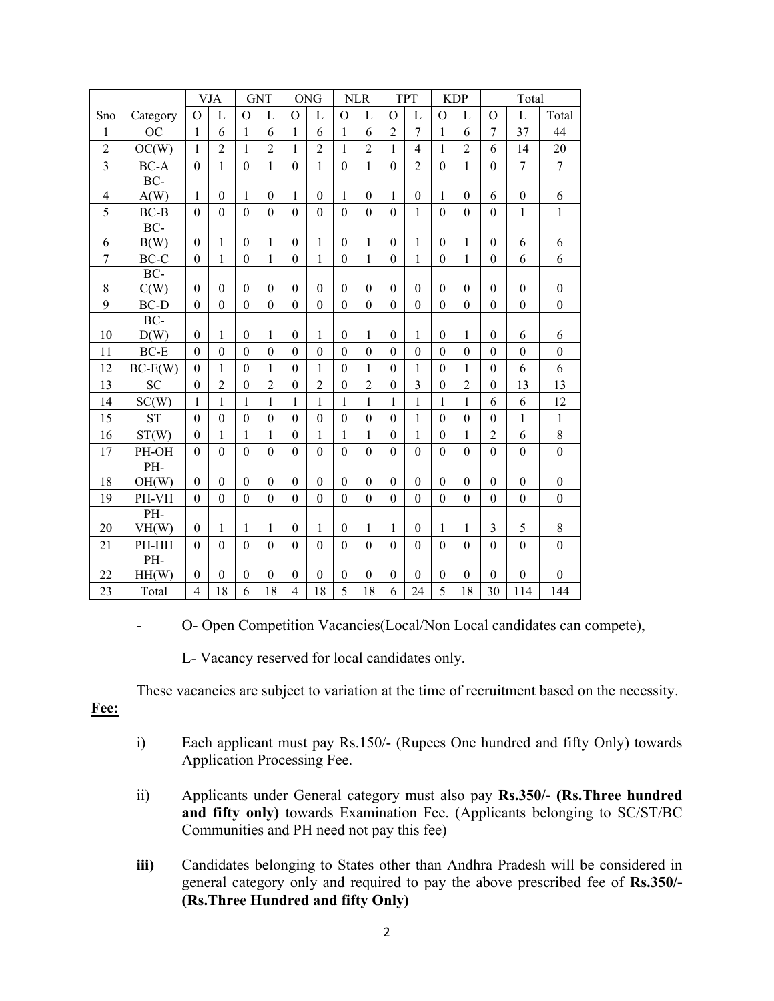|                          |             |                  | VJA              |                  | <b>GNT</b>     |                  | <b>ONG</b>       |                  | <b>NLR</b>       |                  | <b>TPT</b>       |                  | <b>KDP</b>       |                  | Total            |                  |
|--------------------------|-------------|------------------|------------------|------------------|----------------|------------------|------------------|------------------|------------------|------------------|------------------|------------------|------------------|------------------|------------------|------------------|
| Sno                      | Category    | $\Omega$         | L                | $\Omega$         | L              | $\Omega$         | L                | $\Omega$         | L                | $\mathcal{O}$    | L                | $\Omega$         | L                | $\Omega$         | L                | Total            |
| $\mathbf{1}$             | <b>OC</b>   | $\mathbf{1}$     | 6                | 1                | 6              | $\mathbf{1}$     | 6                | $\mathbf{1}$     | 6                | $\overline{2}$   | $\overline{7}$   | $\mathbf{1}$     | 6                | $\overline{7}$   | 37               | 44               |
| $\overline{2}$           | OC(W)       | $\mathbf{1}$     | $\overline{2}$   | 1                | $\overline{2}$ | 1                | $\overline{2}$   | 1                | $\overline{c}$   | $\mathbf{1}$     | 4                | 1                | $\overline{2}$   | 6                | 14               | 20               |
| $\overline{3}$           | $BC-A$      | $\boldsymbol{0}$ | $\mathbf{1}$     | $\boldsymbol{0}$ | $\mathbf{1}$   | $\boldsymbol{0}$ | $\mathbf{1}$     | $\boldsymbol{0}$ | $\mathbf{1}$     | $\mathbf{0}$     | $\overline{2}$   | $\boldsymbol{0}$ | $\mathbf{1}$     | $\mathbf{0}$     | $\overline{7}$   | $\overline{7}$   |
|                          | BC-         |                  |                  |                  |                |                  |                  |                  |                  |                  |                  |                  |                  |                  |                  |                  |
| $\overline{\mathcal{A}}$ | A(W)        | $\mathbf{1}$     | $\boldsymbol{0}$ | 1                | $\theta$       | $\mathbf{1}$     | $\theta$         | 1                | $\boldsymbol{0}$ | $\mathbf{1}$     | $\boldsymbol{0}$ | $\mathbf{1}$     | $\theta$         | 6                | $\boldsymbol{0}$ | 6                |
| 5                        | $BC-B$      | $\boldsymbol{0}$ | $\boldsymbol{0}$ | $\mathbf{0}$     | $\theta$       | $\boldsymbol{0}$ | $\boldsymbol{0}$ | $\boldsymbol{0}$ | $\boldsymbol{0}$ | $\boldsymbol{0}$ | $\mathbf{1}$     | $\theta$         | $\boldsymbol{0}$ | $\boldsymbol{0}$ | $\mathbf{1}$     | $\mathbf{1}$     |
|                          | BC-         |                  |                  |                  |                |                  |                  |                  |                  |                  |                  |                  |                  |                  |                  |                  |
| 6                        | B(W)        | $\boldsymbol{0}$ | $\mathbf{1}$     | $\theta$         | 1              | $\theta$         | $\mathbf{1}$     | $\boldsymbol{0}$ | $\mathbf{1}$     | $\boldsymbol{0}$ | 1                | $\theta$         | 1                | $\boldsymbol{0}$ | 6                | 6                |
| $\overline{7}$           | $BC-C$      | $\mathbf{0}$     | $\mathbf{1}$     | $\mathbf{0}$     | $\mathbf{1}$   | $\overline{0}$   | 1                | $\mathbf{0}$     | $\mathbf{1}$     | $\mathbf{0}$     | $\mathbf{1}$     | $\overline{0}$   | $\mathbf{1}$     | $\overline{0}$   | 6                | 6                |
|                          | BC-         |                  |                  |                  |                |                  |                  |                  |                  |                  |                  |                  |                  |                  |                  |                  |
| 8                        | C(W)        | $\boldsymbol{0}$ | $\mathbf{0}$     | $\theta$         | $\theta$       | $\theta$         | $\theta$         | $\theta$         | $\boldsymbol{0}$ | $\boldsymbol{0}$ | $\boldsymbol{0}$ | $\theta$         | $\theta$         | $\theta$         | $\boldsymbol{0}$ | $\boldsymbol{0}$ |
| 9                        | <b>BC-D</b> | $\overline{0}$   | $\overline{0}$   | $\mathbf{0}$     | $\theta$       | $\theta$         | $\theta$         | $\mathbf{0}$     | $\overline{0}$   | $\overline{0}$   | $\boldsymbol{0}$ | $\overline{0}$   | $\theta$         | $\theta$         | $\mathbf{0}$     | $\overline{0}$   |
|                          | $BC-$       |                  |                  |                  |                |                  |                  |                  |                  |                  |                  |                  |                  |                  |                  |                  |
| 10                       | D(W)        | $\theta$         | 1                | $\theta$         | 1              | $\theta$         | 1                | $\theta$         | $\mathbf{1}$     | $\boldsymbol{0}$ | 1                | $\theta$         | 1                | $\theta$         | 6                | 6                |
| 11                       | $BC-E$      | $\mathbf{0}$     | $\mathbf{0}$     | $\theta$         | $\theta$       | $\theta$         | $\overline{0}$   | $\theta$         | $\boldsymbol{0}$ | $\boldsymbol{0}$ | $\boldsymbol{0}$ | $\theta$         | $\theta$         | $\mathbf{0}$     | $\boldsymbol{0}$ | $\overline{0}$   |
| 12                       | $BC-E(W)$   | $\overline{0}$   | 1                | $\theta$         | $\mathbf{1}$   | $\theta$         | 1                | $\overline{0}$   | $\mathbf{1}$     | $\boldsymbol{0}$ | 1                | $\overline{0}$   | 1                | $\theta$         | 6                | 6                |
| 13                       | SC          | $\mathbf{0}$     | $\overline{2}$   | $\theta$         | $\overline{2}$ | $\overline{0}$   | $\overline{2}$   | $\boldsymbol{0}$ | $\overline{2}$   | $\boldsymbol{0}$ | $\mathfrak{Z}$   | $\overline{0}$   | $\overline{2}$   | $\mathbf{0}$     | 13               | 13               |
| 14                       | SC(W)       | $\mathbf{1}$     | $\mathbf{1}$     | 1                | $\mathbf{1}$   | $\mathbf{1}$     | $\mathbf{1}$     | $\mathbf{1}$     | $\mathbf{1}$     | $\mathbf{1}$     | $\mathbf{1}$     | 1                | 1                | 6                | 6                | 12               |
| 15                       | <b>ST</b>   | $\mathbf{0}$     | $\boldsymbol{0}$ | $\theta$         | $\overline{0}$ | $\overline{0}$   | $\mathbf{0}$     | $\mathbf{0}$     | $\mathbf{0}$     | $\boldsymbol{0}$ | 1                | $\theta$         | $\mathbf{0}$     | $\mathbf{0}$     | $\mathbf{1}$     | $\mathbf{1}$     |
| 16                       | ST(W)       | $\mathbf{0}$     | 1                | $\mathbf{1}$     | $\mathbf{1}$   | $\mathbf{0}$     | $\mathbf{1}$     | $\mathbf{1}$     | $\mathbf{1}$     | $\boldsymbol{0}$ | $\mathbf{1}$     | $\theta$         | $\mathbf{1}$     | $\overline{2}$   | 6                | $\,8\,$          |
| 17                       | PH-OH       | $\mathbf{0}$     | $\boldsymbol{0}$ | $\theta$         | $\overline{0}$ | $\theta$         | $\mathbf{0}$     | $\boldsymbol{0}$ | $\overline{0}$   | $\boldsymbol{0}$ | $\boldsymbol{0}$ | $\theta$         | $\mathbf{0}$     | $\overline{0}$   | $\mathbf{0}$     | $\overline{0}$   |
|                          | PH-         |                  |                  |                  |                |                  |                  |                  |                  |                  |                  |                  |                  |                  |                  |                  |
| 18                       | OH(W)       | $\boldsymbol{0}$ | $\boldsymbol{0}$ | $\theta$         | $\theta$       | $\theta$         | $\theta$         | $\mathbf{0}$     | $\boldsymbol{0}$ | $\boldsymbol{0}$ | $\theta$         | $\theta$         | $\theta$         | $\boldsymbol{0}$ | $\boldsymbol{0}$ | $\boldsymbol{0}$ |
| 19                       | PH-VH       | $\boldsymbol{0}$ | $\overline{0}$   | $\mathbf{0}$     | $\mathbf{0}$   | $\theta$         | $\overline{0}$   | $\mathbf{0}$     | $\overline{0}$   | $\mathbf{0}$     | $\mathbf{0}$     | $\overline{0}$   | $\theta$         | $\theta$         | $\mathbf{0}$     | $\mathbf{0}$     |
|                          | $PH-$       |                  |                  |                  |                |                  |                  |                  |                  |                  |                  |                  |                  |                  |                  |                  |
| 20                       | VH(W)       | $\boldsymbol{0}$ | 1                | 1                | 1              | $\theta$         | $\mathbf{1}$     | $\boldsymbol{0}$ | $\mathbf{1}$     | $\mathbf{1}$     | $\boldsymbol{0}$ | 1                | 1                | 3                | 5                | $8\,$            |
| 21                       | PH-HH       | $\boldsymbol{0}$ | $\boldsymbol{0}$ | $\boldsymbol{0}$ | $\theta$       | $\theta$         | $\boldsymbol{0}$ | $\boldsymbol{0}$ | $\boldsymbol{0}$ | $\boldsymbol{0}$ | $\boldsymbol{0}$ | $\boldsymbol{0}$ | $\theta$         | $\mathbf{0}$     | $\boldsymbol{0}$ | $\overline{0}$   |
|                          | PH-         |                  |                  |                  |                |                  |                  |                  |                  |                  |                  |                  |                  |                  |                  |                  |
| 22                       | HH(W)       | $\boldsymbol{0}$ | $\boldsymbol{0}$ | $\theta$         | $\theta$       | $\Omega$         | $\mathbf{0}$     | $\boldsymbol{0}$ | $\boldsymbol{0}$ | $\boldsymbol{0}$ | $\theta$         | $\theta$         | $\theta$         | $\mathbf{0}$     | $\boldsymbol{0}$ | $\mathbf{0}$     |
| 23                       | Total       | 4                | 18               | 6                | 18             | 4                | 18               | 5                | 18               | 6                | 24               | 5                | 18               | 30               | 114              | 144              |

- O- Open Competition Vacancies(Local/Non Local candidates can compete),

L- Vacancy reserved for local candidates only.

These vacancies are subject to variation at the time of recruitment based on the necessity.

**Fee:**

- i) Each applicant must pay Rs.150/- (Rupees One hundred and fifty Only) towards Application Processing Fee.
- ii) Applicants under General category must also pay **Rs.350/- (Rs.Three hundred and fifty only)** towards Examination Fee. (Applicants belonging to SC/ST/BC Communities and PH need not pay this fee)
- **iii)** Candidates belonging to States other than Andhra Pradesh will be considered in general category only and required to pay the above prescribed fee of **Rs.350/- (Rs.Three Hundred and fifty Only)**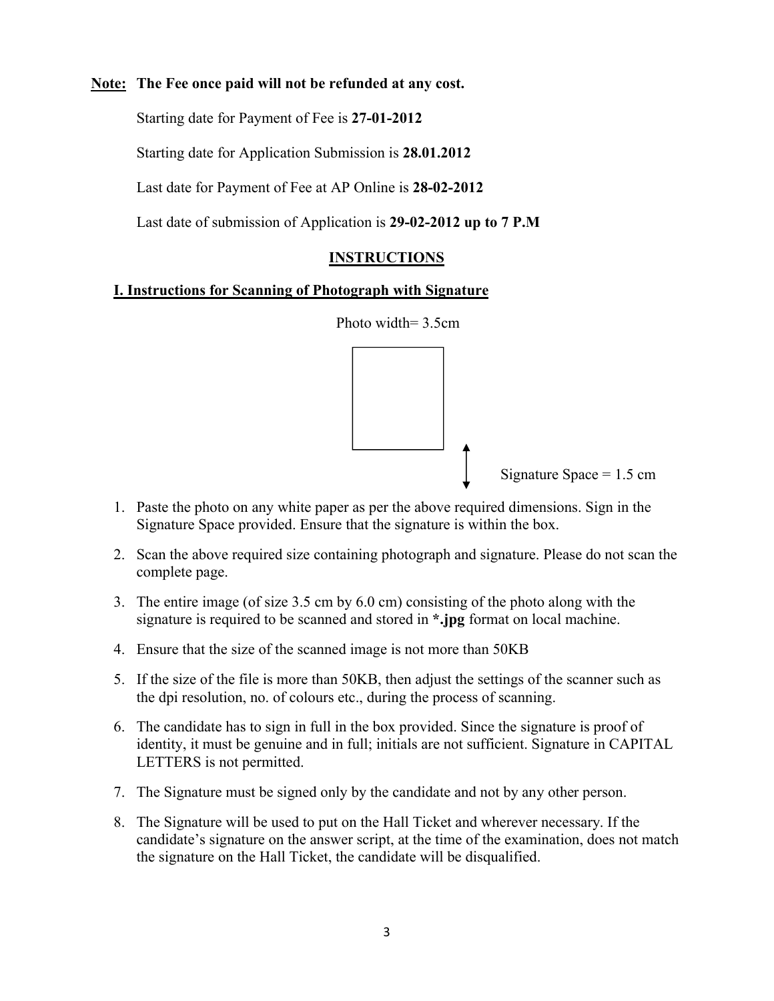#### **Note: The Fee once paid will not be refunded at any cost.**

Starting date for Payment of Fee is **27-01-2012**

Starting date for Application Submission is **28.01.2012**

Last date for Payment of Fee at AP Online is **28-02-2012**

Last date of submission of Application is **29-02-2012 up to 7 P.M**

## **INSTRUCTIONS**

#### **I. Instructions for Scanning of Photograph with Signature**



- 1. Paste the photo on any white paper as per the above required dimensions. Sign in the Signature Space provided. Ensure that the signature is within the box.
- 2. Scan the above required size containing photograph and signature. Please do not scan the complete page.
- 3. The entire image (of size 3.5 cm by 6.0 cm) consisting of the photo along with the signature is required to be scanned and stored in **\*.jpg** format on local machine.
- 4. Ensure that the size of the scanned image is not more than 50KB
- 5. If the size of the file is more than 50KB, then adjust the settings of the scanner such as the dpi resolution, no. of colours etc., during the process of scanning.
- 6. The candidate has to sign in full in the box provided. Since the signature is proof of identity, it must be genuine and in full; initials are not sufficient. Signature in CAPITAL LETTERS is not permitted.
- 7. The Signature must be signed only by the candidate and not by any other person.
- 8. The Signature will be used to put on the Hall Ticket and wherever necessary. If the candidate's signature on the answer script, at the time of the examination, does not match the signature on the Hall Ticket, the candidate will be disqualified.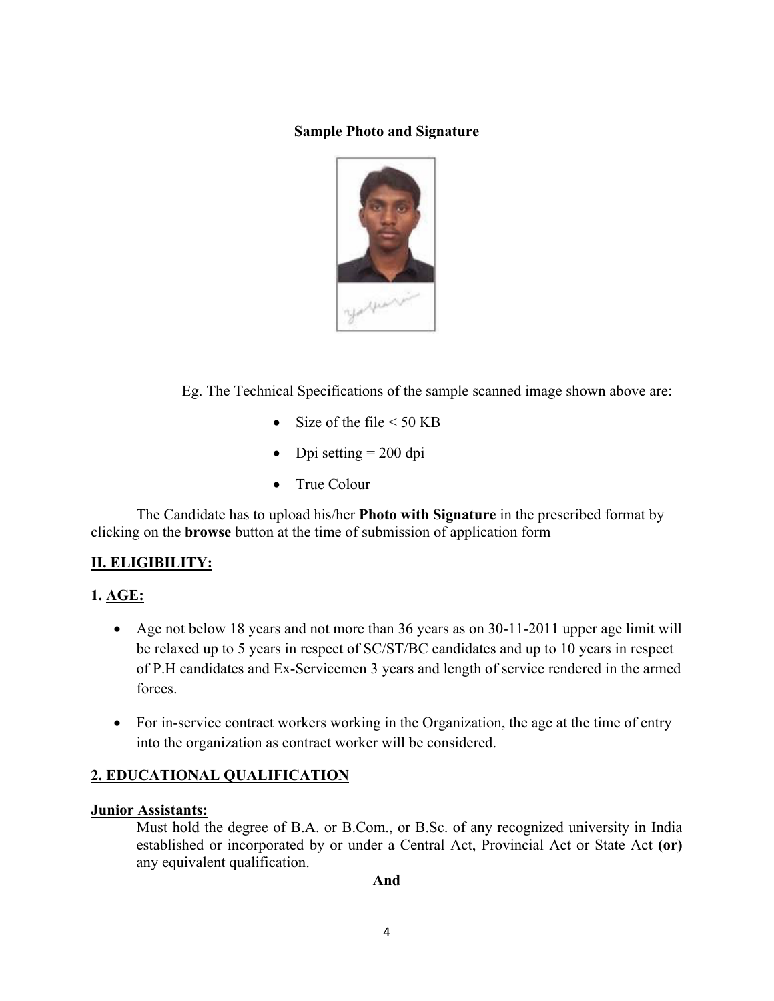#### **Sample Photo and Signature**



Eg. The Technical Specifications of the sample scanned image shown above are:

- Size of the file  $\leq 50$  KB
- $\bullet$  Dpi setting = 200 dpi
- True Colour

The Candidate has to upload his/her **Photo with Signature** in the prescribed format by clicking on the **browse** button at the time of submission of application form

## **II. ELIGIBILITY:**

## **1. AGE:**

- Age not below 18 years and not more than 36 years as on 30-11-2011 upper age limit will be relaxed up to 5 years in respect of SC/ST/BC candidates and up to 10 years in respect of P.H candidates and Ex-Servicemen 3 years and length of service rendered in the armed forces.
- For in-service contract workers working in the Organization, the age at the time of entry into the organization as contract worker will be considered.

## **2. EDUCATIONAL QUALIFICATION**

#### **Junior Assistants:**

Must hold the degree of B.A. or B.Com., or B.Sc. of any recognized university in India established or incorporated by or under a Central Act, Provincial Act or State Act **(or)**  any equivalent qualification.

#### **And**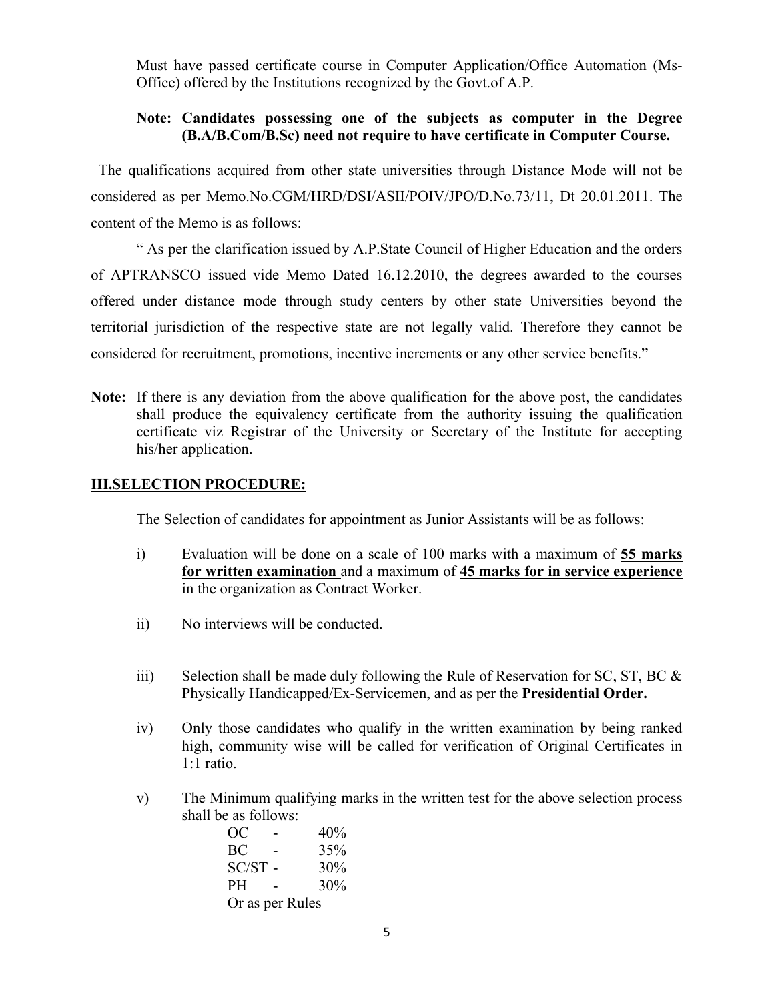Must have passed certificate course in Computer Application/Office Automation (Ms-Office) offered by the Institutions recognized by the Govt.of A.P.

#### **Note: Candidates possessing one of the subjects as computer in the Degree (B.A/B.Com/B.Sc) need not require to have certificate in Computer Course.**

 The qualifications acquired from other state universities through Distance Mode will not be considered as per Memo.No.CGM/HRD/DSI/ASII/POIV/JPO/D.No.73/11, Dt 20.01.2011. The content of the Memo is as follows:

" As per the clarification issued by A.P.State Council of Higher Education and the orders of APTRANSCO issued vide Memo Dated 16.12.2010, the degrees awarded to the courses offered under distance mode through study centers by other state Universities beyond the territorial jurisdiction of the respective state are not legally valid. Therefore they cannot be considered for recruitment, promotions, incentive increments or any other service benefits."

**Note:** If there is any deviation from the above qualification for the above post, the candidates shall produce the equivalency certificate from the authority issuing the qualification certificate viz Registrar of the University or Secretary of the Institute for accepting his/her application.

#### **III.SELECTION PROCEDURE:**

The Selection of candidates for appointment as Junior Assistants will be as follows:

- i) Evaluation will be done on a scale of 100 marks with a maximum of **55 marks for written examination** and a maximum of **45 marks for in service experience** in the organization as Contract Worker.
- ii) No interviews will be conducted.
- iii) Selection shall be made duly following the Rule of Reservation for SC, ST, BC  $\&$ Physically Handicapped/Ex-Servicemen, and as per the **Presidential Order.**
- iv) Only those candidates who qualify in the written examination by being ranked high, community wise will be called for verification of Original Certificates in 1:1 ratio.
- v) The Minimum qualifying marks in the written test for the above selection process shall be as follows:

OC - 40%  $BC - 35%$  $SC/ST - 30\%$ PH - 30% Or as per Rules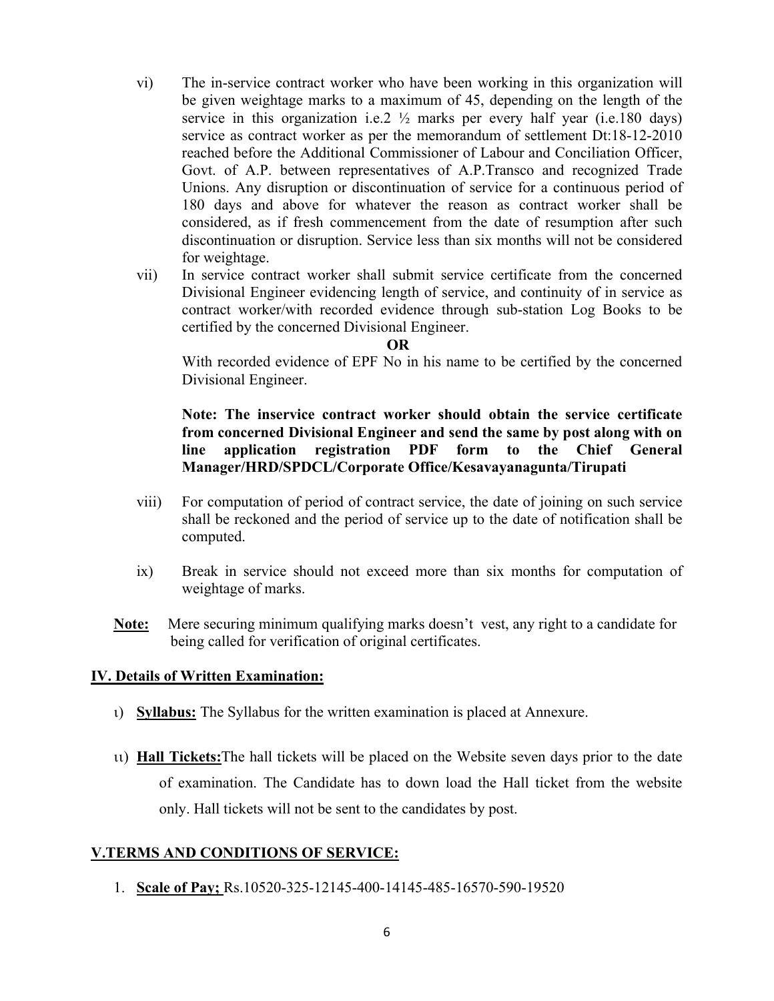- vi) The in-service contract worker who have been working in this organization will be given weightage marks to a maximum of 45, depending on the length of the service in this organization i.e.  $2 \frac{1}{2}$  marks per every half year (i.e. 180 days) service as contract worker as per the memorandum of settlement Dt:18-12-2010 reached before the Additional Commissioner of Labour and Conciliation Officer, Govt. of A.P. between representatives of A.P.Transco and recognized Trade Unions. Any disruption or discontinuation of service for a continuous period of 180 days and above for whatever the reason as contract worker shall be considered, as if fresh commencement from the date of resumption after such discontinuation or disruption. Service less than six months will not be considered for weightage.
- vii) In service contract worker shall submit service certificate from the concerned Divisional Engineer evidencing length of service, and continuity of in service as contract worker/with recorded evidence through sub-station Log Books to be certified by the concerned Divisional Engineer.

#### **OR**

With recorded evidence of EPF No in his name to be certified by the concerned Divisional Engineer.

**Note: The inservice contract worker should obtain the service certificate from concerned Divisional Engineer and send the same by post along with on line application registration PDF form to the Chief General Manager/HRD/SPDCL/Corporate Office/Kesavayanagunta/Tirupati**

- viii) For computation of period of contract service, the date of joining on such service shall be reckoned and the period of service up to the date of notification shall be computed.
- ix) Break in service should not exceed more than six months for computation of weightage of marks.
- **Note:** Mere securing minimum qualifying marks doesn't vest, any right to a candidate for being called for verification of original certificates.

#### **IV. Details of Written Examination:**

- **Syllabus:** The Syllabus for the written examination is placed at Annexure.
- **Hall Tickets:**The hall tickets will be placed on the Website seven days prior to the date of examination. The Candidate has to down load the Hall ticket from the website only. Hall tickets will not be sent to the candidates by post.

#### **V.TERMS AND CONDITIONS OF SERVICE:**

1. **Scale of Pay;** Rs.10520-325-12145-400-14145-485-16570-590-19520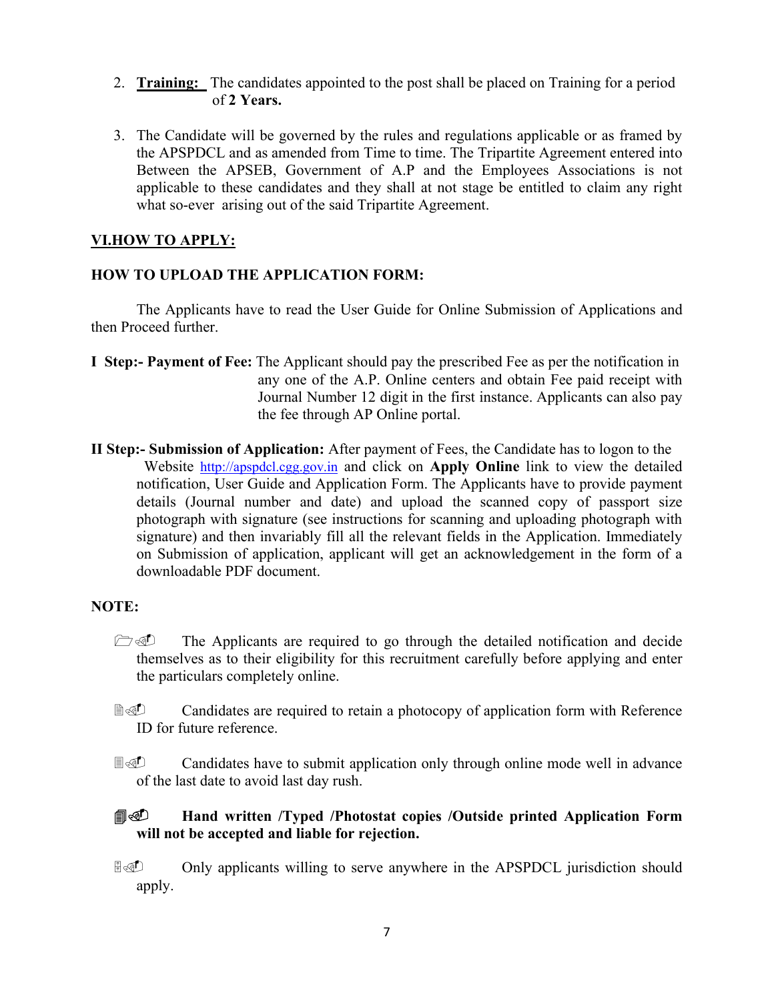- 2. **Training:** The candidates appointed to the post shall be placed on Training for a period of **2 Years.**
- 3. The Candidate will be governed by the rules and regulations applicable or as framed by the APSPDCL and as amended from Time to time. The Tripartite Agreement entered into Between the APSEB, Government of A.P and the Employees Associations is not applicable to these candidates and they shall at not stage be entitled to claim any right what so-ever arising out of the said Tripartite Agreement.

#### **VI.HOW TO APPLY:**

#### **HOW TO UPLOAD THE APPLICATION FORM:**

The Applicants have to read the User Guide for Online Submission of Applications and then Proceed further.

- **I Step:- Payment of Fee:** The Applicant should pay the prescribed Fee as per the notification in any one of the A.P. Online centers and obtain Fee paid receipt with Journal Number 12 digit in the first instance. Applicants can also pay the fee through AP Online portal.
- **II Step:- Submission of Application:** After payment of Fees, the Candidate has to logon to the Website http://apspdcl.cgg.gov.in and click on **Apply Online** link to view the detailed notification, User Guide and Application Form. The Applicants have to provide payment details (Journal number and date) and upload the scanned copy of passport size photograph with signature (see instructions for scanning and uploading photograph with signature) and then invariably fill all the relevant fields in the Application. Immediately on Submission of application, applicant will get an acknowledgement in the form of a downloadable PDF document.

#### **NOTE:**

- $\Box$  The Applicants are required to go through the detailed notification and decide themselves as to their eligibility for this recruitment carefully before applying and enter the particulars completely online.
- **Candidates are required to retain a photocopy of application form with Reference** ID for future reference.
- **E** Candidates have to submit application only through online mode well in advance of the last date to avoid last day rush.

## **Hand written /Typed /Photostat copies /Outside printed Application Form will not be accepted and liable for rejection.**

**E** Only applicants willing to serve anywhere in the APSPDCL jurisdiction should apply.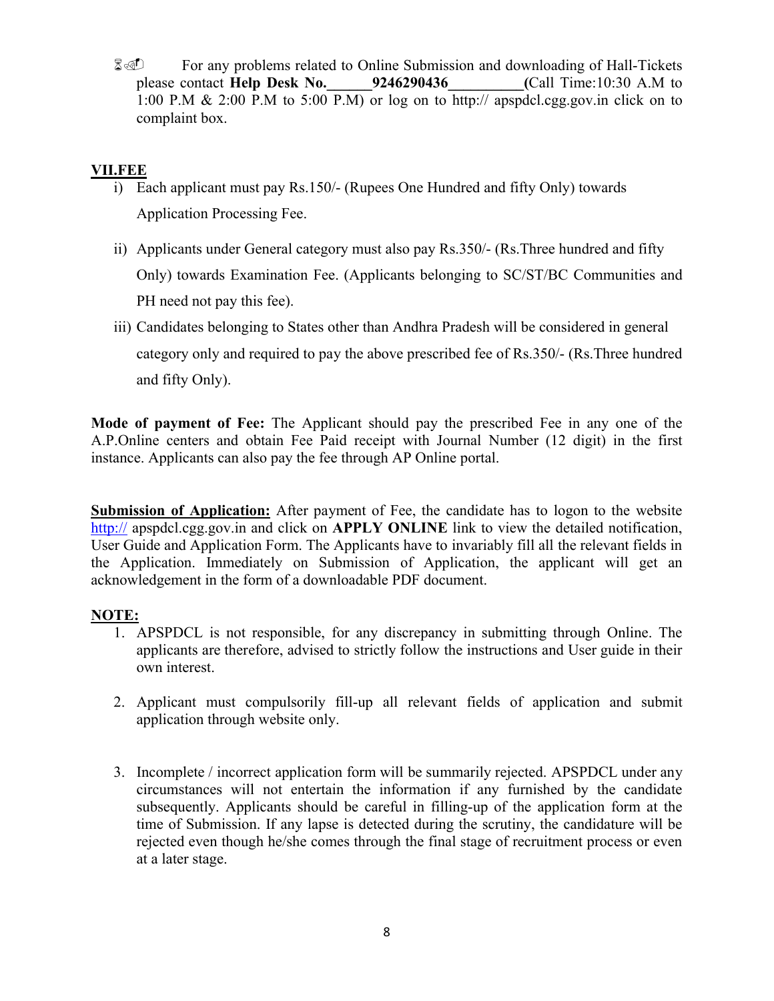**E** For any problems related to Online Submission and downloading of Hall-Tickets please contact **Help Desk No.\_\_\_\_\_\_9246290436\_\_\_\_\_\_\_\_\_\_(**Call Time:10:30 A.M to 1:00 P.M & 2:00 P.M to 5:00 P.M) or log on to http:// apspdcl.cgg.gov.in click on to complaint box.

## **VII.FEE**

- i) Each applicant must pay Rs.150/- (Rupees One Hundred and fifty Only) towards Application Processing Fee.
- ii) Applicants under General category must also pay Rs.350/- (Rs.Three hundred and fifty Only) towards Examination Fee. (Applicants belonging to SC/ST/BC Communities and PH need not pay this fee).
- iii) Candidates belonging to States other than Andhra Pradesh will be considered in general category only and required to pay the above prescribed fee of Rs.350/- (Rs.Three hundred and fifty Only).

**Mode of payment of Fee:** The Applicant should pay the prescribed Fee in any one of the A.P.Online centers and obtain Fee Paid receipt with Journal Number (12 digit) in the first instance. Applicants can also pay the fee through AP Online portal.

**Submission of Application:** After payment of Fee, the candidate has to logon to the website http:// apspdcl.cgg.gov.in and click on **APPLY ONLINE** link to view the detailed notification, User Guide and Application Form. The Applicants have to invariably fill all the relevant fields in the Application. Immediately on Submission of Application, the applicant will get an acknowledgement in the form of a downloadable PDF document.

## **NOTE:**

- 1. APSPDCL is not responsible, for any discrepancy in submitting through Online. The applicants are therefore, advised to strictly follow the instructions and User guide in their own interest.
- 2. Applicant must compulsorily fill-up all relevant fields of application and submit application through website only.
- 3. Incomplete / incorrect application form will be summarily rejected. APSPDCL under any circumstances will not entertain the information if any furnished by the candidate subsequently. Applicants should be careful in filling-up of the application form at the time of Submission. If any lapse is detected during the scrutiny, the candidature will be rejected even though he/she comes through the final stage of recruitment process or even at a later stage.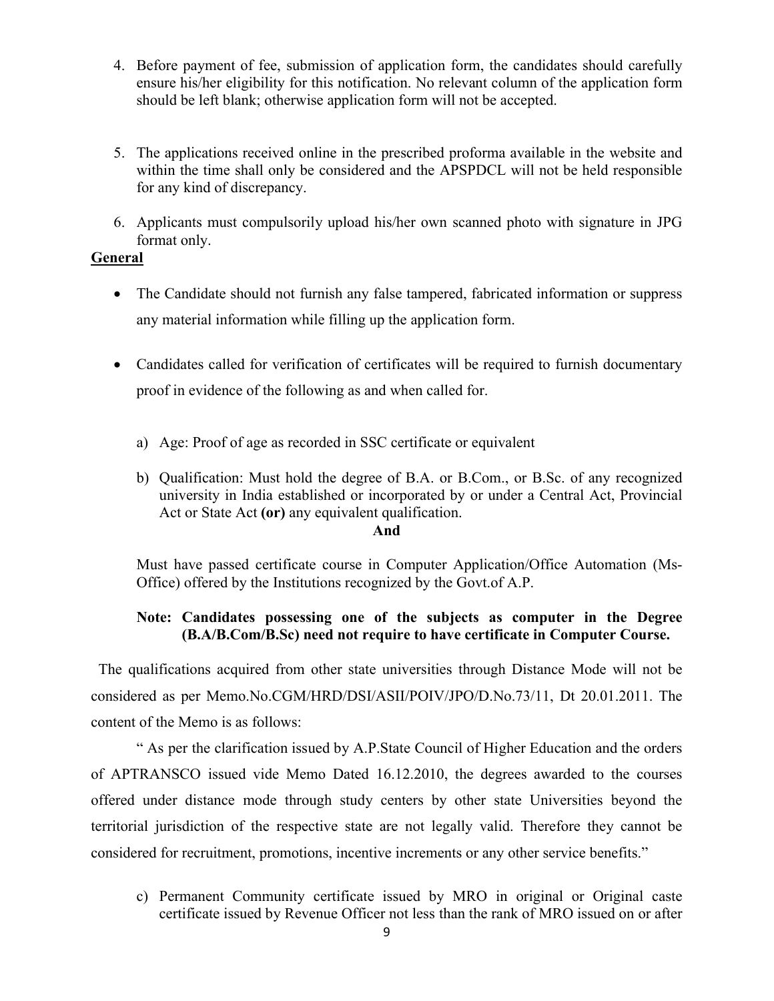- 4. Before payment of fee, submission of application form, the candidates should carefully ensure his/her eligibility for this notification. No relevant column of the application form should be left blank; otherwise application form will not be accepted.
- 5. The applications received online in the prescribed proforma available in the website and within the time shall only be considered and the APSPDCL will not be held responsible for any kind of discrepancy.
- 6. Applicants must compulsorily upload his/her own scanned photo with signature in JPG format only.

#### **General**

- The Candidate should not furnish any false tampered, fabricated information or suppress any material information while filling up the application form.
- Candidates called for verification of certificates will be required to furnish documentary proof in evidence of the following as and when called for.
	- a) Age: Proof of age as recorded in SSC certificate or equivalent
	- b) Qualification: Must hold the degree of B.A. or B.Com., or B.Sc. of any recognized university in India established or incorporated by or under a Central Act, Provincial Act or State Act **(or)** any equivalent qualification.

#### **And**

Must have passed certificate course in Computer Application/Office Automation (Ms-Office) offered by the Institutions recognized by the Govt.of A.P.

## **Note: Candidates possessing one of the subjects as computer in the Degree (B.A/B.Com/B.Sc) need not require to have certificate in Computer Course.**

 The qualifications acquired from other state universities through Distance Mode will not be considered as per Memo.No.CGM/HRD/DSI/ASII/POIV/JPO/D.No.73/11, Dt 20.01.2011. The content of the Memo is as follows:

" As per the clarification issued by A.P.State Council of Higher Education and the orders of APTRANSCO issued vide Memo Dated 16.12.2010, the degrees awarded to the courses offered under distance mode through study centers by other state Universities beyond the territorial jurisdiction of the respective state are not legally valid. Therefore they cannot be considered for recruitment, promotions, incentive increments or any other service benefits."

c) Permanent Community certificate issued by MRO in original or Original caste certificate issued by Revenue Officer not less than the rank of MRO issued on or after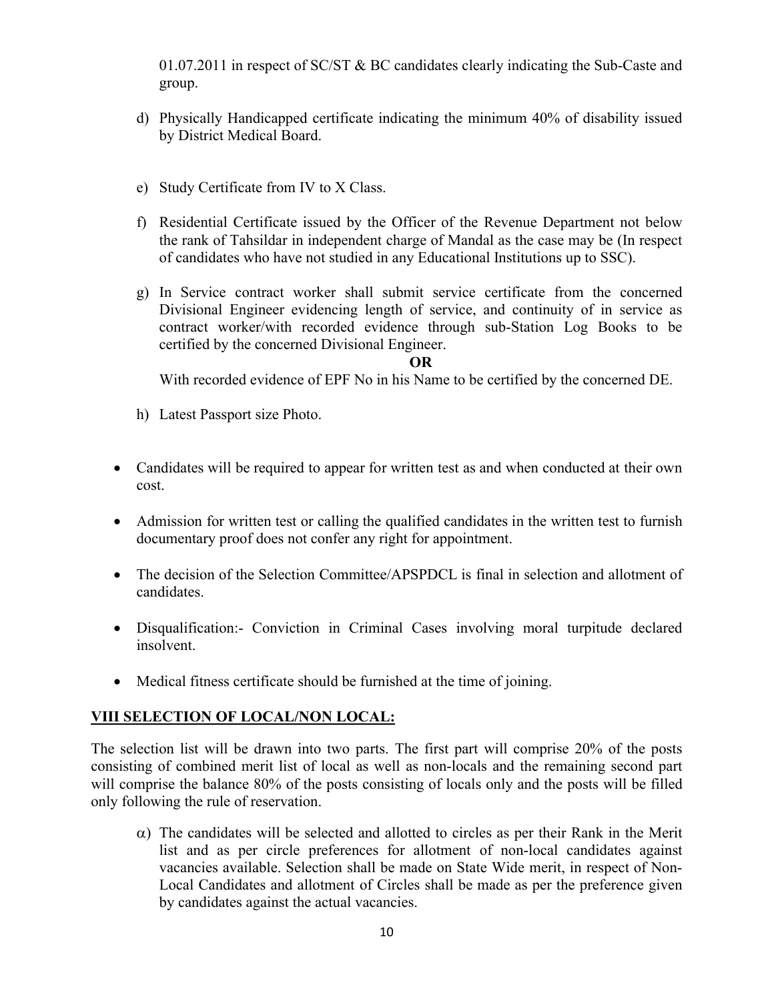01.07.2011 in respect of  $SC/ST \& BC$  candidates clearly indicating the Sub-Caste and group.

- d) Physically Handicapped certificate indicating the minimum 40% of disability issued by District Medical Board.
- e) Study Certificate from IV to X Class.
- f) Residential Certificate issued by the Officer of the Revenue Department not below the rank of Tahsildar in independent charge of Mandal as the case may be (In respect of candidates who have not studied in any Educational Institutions up to SSC).
- g) In Service contract worker shall submit service certificate from the concerned Divisional Engineer evidencing length of service, and continuity of in service as contract worker/with recorded evidence through sub-Station Log Books to be certified by the concerned Divisional Engineer.

#### **OR**

With recorded evidence of EPF No in his Name to be certified by the concerned DE.

- h) Latest Passport size Photo.
- Candidates will be required to appear for written test as and when conducted at their own cost.
- Admission for written test or calling the qualified candidates in the written test to furnish documentary proof does not confer any right for appointment.
- The decision of the Selection Committee/APSPDCL is final in selection and allotment of candidates.
- Disqualification:- Conviction in Criminal Cases involving moral turpitude declared insolvent.
- Medical fitness certificate should be furnished at the time of joining.

## **VIII SELECTION OF LOCAL/NON LOCAL:**

The selection list will be drawn into two parts. The first part will comprise 20% of the posts consisting of combined merit list of local as well as non-locals and the remaining second part will comprise the balance 80% of the posts consisting of locals only and the posts will be filled only following the rule of reservation.

 $\alpha$ ) The candidates will be selected and allotted to circles as per their Rank in the Merit list and as per circle preferences for allotment of non-local candidates against vacancies available. Selection shall be made on State Wide merit, in respect of Non-Local Candidates and allotment of Circles shall be made as per the preference given by candidates against the actual vacancies.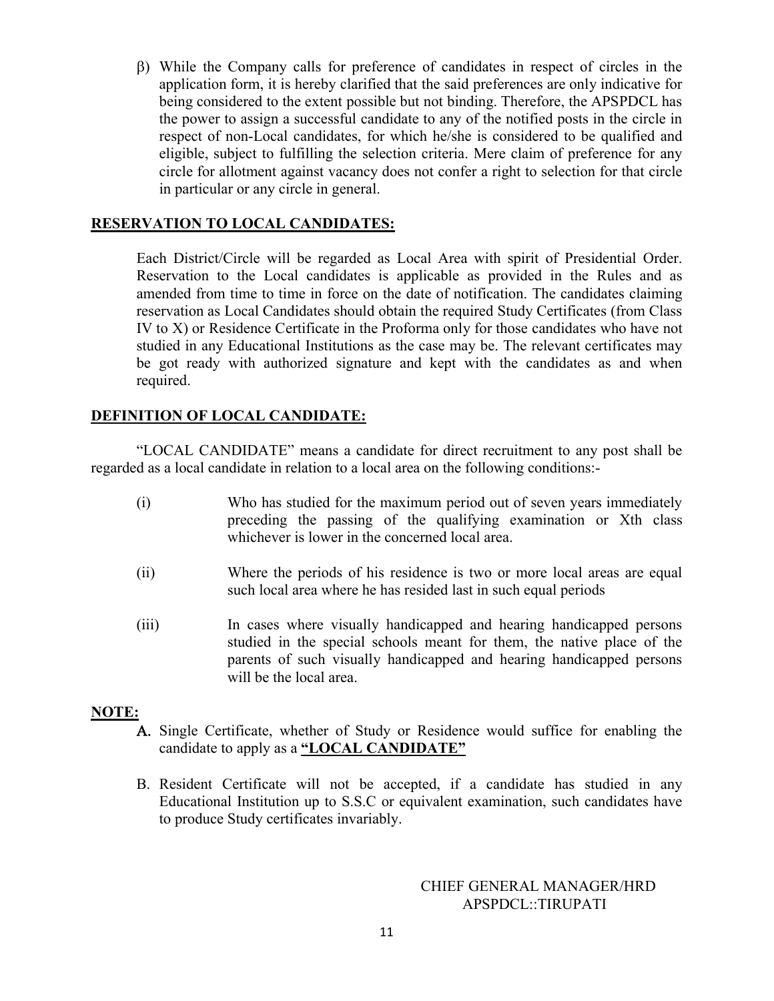While the Company calls for preference of candidates in respect of circles in the application form, it is hereby clarified that the said preferences are only indicative for being considered to the extent possible but not binding. Therefore, the APSPDCL has the power to assign a successful candidate to any of the notified posts in the circle in respect of non-Local candidates, for which he/she is considered to be qualified and eligible, subject to fulfilling the selection criteria. Mere claim of preference for any circle for allotment against vacancy does not confer a right to selection for that circle in particular or any circle in general.

## **RESERVATION TO LOCAL CANDIDATES:**

Each District/Circle will be regarded as Local Area with spirit of Presidential Order. Reservation to the Local candidates is applicable as provided in the Rules and as amended from time to time in force on the date of notification. The candidates claiming reservation as Local Candidates should obtain the required Study Certificates (from Class IV to X) or Residence Certificate in the Proforma only for those candidates who have not studied in any Educational Institutions as the case may be. The relevant certificates may be got ready with authorized signature and kept with the candidates as and when required.

#### **DEFINITION OF LOCAL CANDIDATE:**

"LOCAL CANDIDATE" means a candidate for direct recruitment to any post shall be regarded as a local candidate in relation to a local area on the following conditions:-

- (i) Who has studied for the maximum period out of seven years immediately preceding the passing of the qualifying examination or Xth class whichever is lower in the concerned local area.
- (ii) Where the periods of his residence is two or more local areas are equal such local area where he has resided last in such equal periods
- (iii) In cases where visually handicapped and hearing handicapped persons studied in the special schools meant for them, the native place of the parents of such visually handicapped and hearing handicapped persons will be the local area.

#### **NOTE:**

- A. Single Certificate, whether of Study or Residence would suffice for enabling the candidate to apply as a **"LOCAL CANDIDATE"**
- Resident Certificate will not be accepted, if a candidate has studied in any Educational Institution up to S.S.C or equivalent examination, such candidates have to produce Study certificates invariably.

#### CHIEF GENERAL MANAGER/HRD APSPDCL::TIRUPATI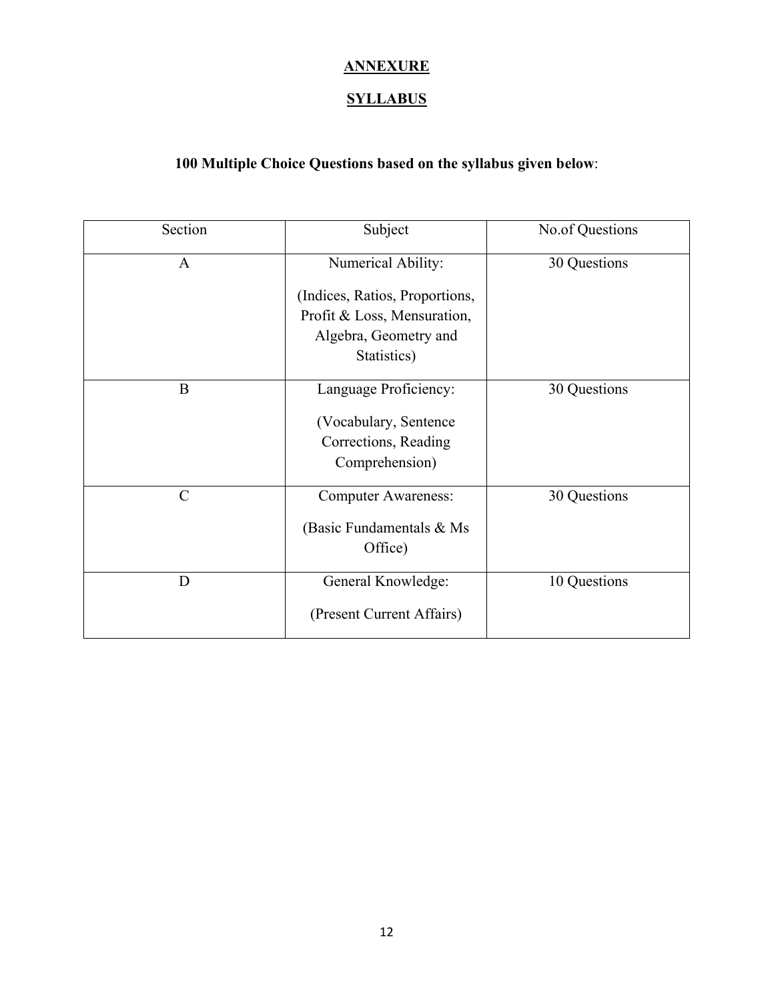# **ANNEXURE**

## **SYLLABUS**

# **100 Multiple Choice Questions based on the syllabus given below**:

| Section       | Subject                                                                                               | No.of Questions |  |  |
|---------------|-------------------------------------------------------------------------------------------------------|-----------------|--|--|
| $\mathbf{A}$  | Numerical Ability:                                                                                    | 30 Questions    |  |  |
|               | (Indices, Ratios, Proportions,<br>Profit & Loss, Mensuration,<br>Algebra, Geometry and<br>Statistics) |                 |  |  |
| B             | Language Proficiency:<br>(Vocabulary, Sentence)<br>Corrections, Reading<br>Comprehension)             | 30 Questions    |  |  |
| $\mathcal{C}$ | <b>Computer Awareness:</b><br>(Basic Fundamentals & Ms)<br>Office)                                    | 30 Questions    |  |  |
| D             | General Knowledge:<br>(Present Current Affairs)                                                       | 10 Questions    |  |  |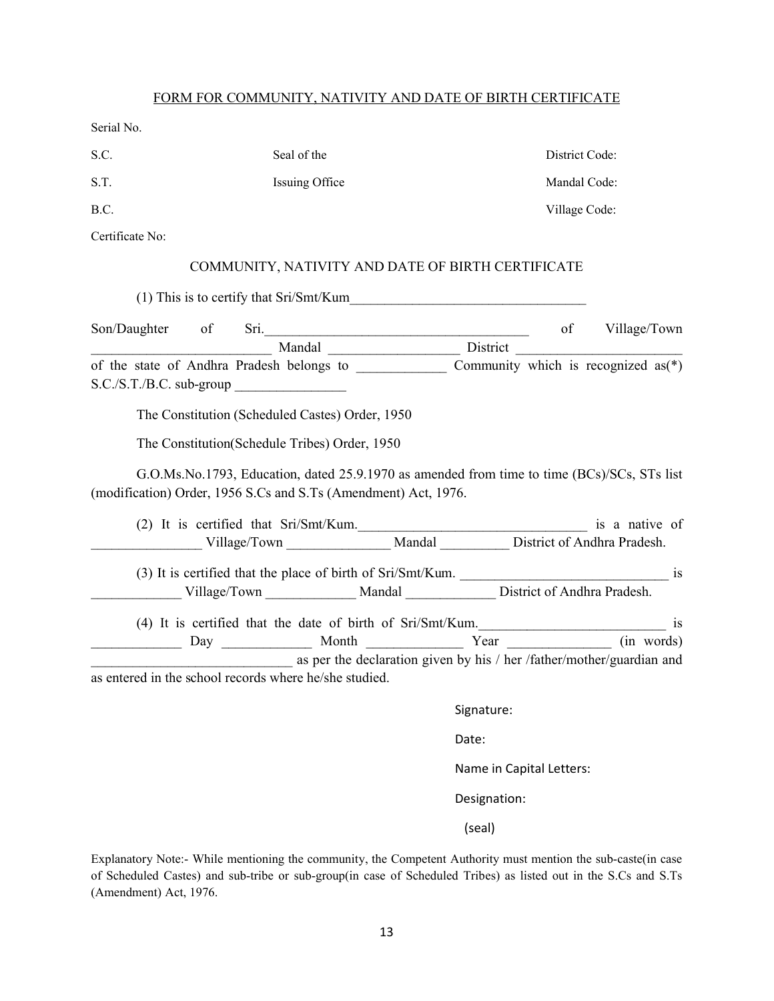#### FORM FOR COMMUNITY, NATIVITY AND DATE OF BIRTH CERTIFICATE

Serial No.

| S.C.            | Seal of the                                                                                                                                                                                                                                                                                                                                                                                   |            | District Code: |  |
|-----------------|-----------------------------------------------------------------------------------------------------------------------------------------------------------------------------------------------------------------------------------------------------------------------------------------------------------------------------------------------------------------------------------------------|------------|----------------|--|
| S.T.            | Issuing Office                                                                                                                                                                                                                                                                                                                                                                                |            | Mandal Code:   |  |
| B.C.            |                                                                                                                                                                                                                                                                                                                                                                                               |            | Village Code:  |  |
| Certificate No: |                                                                                                                                                                                                                                                                                                                                                                                               |            |                |  |
|                 | COMMUNITY, NATIVITY AND DATE OF BIRTH CERTIFICATE                                                                                                                                                                                                                                                                                                                                             |            |                |  |
|                 |                                                                                                                                                                                                                                                                                                                                                                                               |            |                |  |
|                 |                                                                                                                                                                                                                                                                                                                                                                                               |            |                |  |
|                 | Son/Daughter of Sri. Mandal Mandal Mandal Mandal Mandal Mandal Mandal Mandal Mandal Mandal Mandal Mandal Mandal Mandal Mandal Mandal Mandal Mandal Mandal Mandal Mandal Mandal Mandal Mandal Mandal Mandal Mandal Mandal Manda                                                                                                                                                                |            |                |  |
|                 | $S.C./S.T./B.C. sub-group$<br>The Constitution (Scheduled Castes) Order, 1950<br>The Constitution (Schedule Tribes) Order, 1950<br>G.O.Ms.No.1793, Education, dated 25.9.1970 as amended from time to time (BCs)/SCs, STs list<br>(modification) Order, 1956 S.Cs and S.Ts (Amendment) Act, 1976.<br>(2) It is certified that Sri/Smt/Kum.<br>Village/Town Mandal District of Andhra Pradesh. |            |                |  |
|                 |                                                                                                                                                                                                                                                                                                                                                                                               |            |                |  |
|                 |                                                                                                                                                                                                                                                                                                                                                                                               |            |                |  |
|                 | Village/Town Mandal District of Andhra Pradesh.                                                                                                                                                                                                                                                                                                                                               |            |                |  |
|                 | (4) It is certified that the date of birth of Sri/Smt/Kum.                                                                                                                                                                                                                                                                                                                                    |            |                |  |
|                 |                                                                                                                                                                                                                                                                                                                                                                                               |            |                |  |
|                 | as per the declaration given by his / her /father/mother/guardian and<br>as entered in the school records where he/she studied.                                                                                                                                                                                                                                                               |            |                |  |
|                 |                                                                                                                                                                                                                                                                                                                                                                                               | Signature: |                |  |
|                 |                                                                                                                                                                                                                                                                                                                                                                                               | Date:      |                |  |

Name in Capital Letters:

Designation:

(seal)

Explanatory Note:- While mentioning the community, the Competent Authority must mention the sub-caste(in case of Scheduled Castes) and sub-tribe or sub-group(in case of Scheduled Tribes) as listed out in the S.Cs and S.Ts (Amendment) Act, 1976.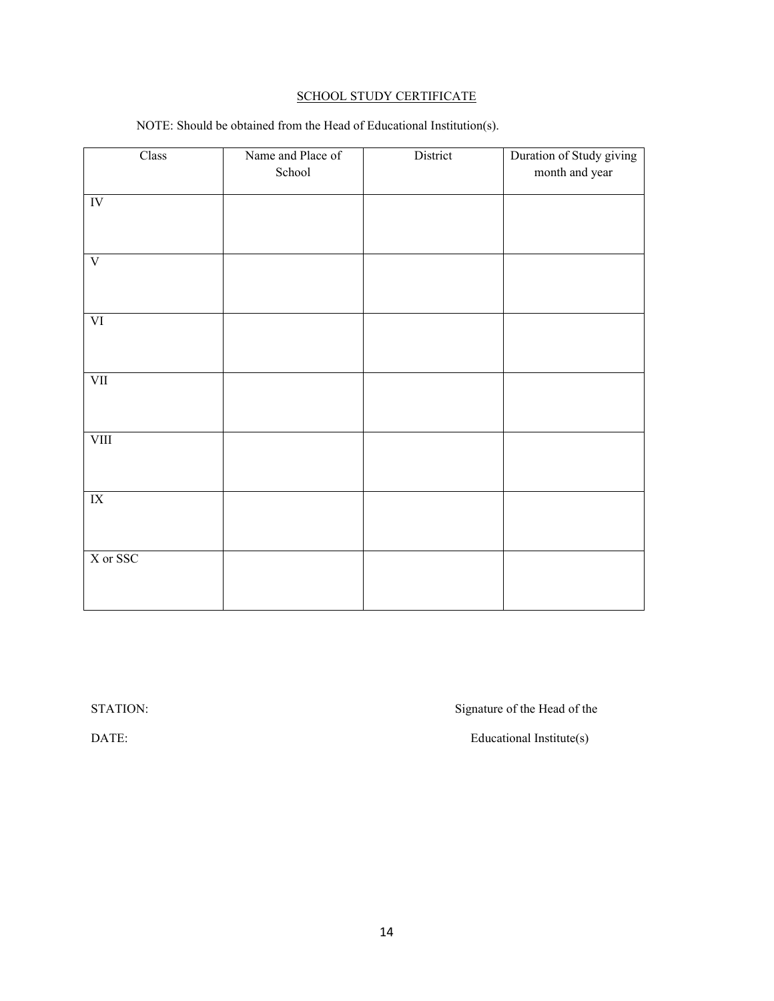#### SCHOOL STUDY CERTIFICATE

| Class                           | Name and Place of<br>School | District | Duration of Study giving<br>month and year |
|---------------------------------|-----------------------------|----------|--------------------------------------------|
|                                 |                             |          |                                            |
| $\overline{\text{IV}}$          |                             |          |                                            |
|                                 |                             |          |                                            |
| $\overline{\mathbf{V}}$         |                             |          |                                            |
|                                 |                             |          |                                            |
| $\overline{\mbox{VI}}$          |                             |          |                                            |
|                                 |                             |          |                                            |
| $\overline{\text{VII}}$         |                             |          |                                            |
|                                 |                             |          |                                            |
| VIII                            |                             |          |                                            |
|                                 |                             |          |                                            |
| $\ensuremath{\text{IX}}\xspace$ |                             |          |                                            |
|                                 |                             |          |                                            |
| X or SSC                        |                             |          |                                            |
|                                 |                             |          |                                            |
|                                 |                             |          |                                            |

NOTE: Should be obtained from the Head of Educational Institution(s).

STATION: SIGNATION:

DATE: Educational Institute(s)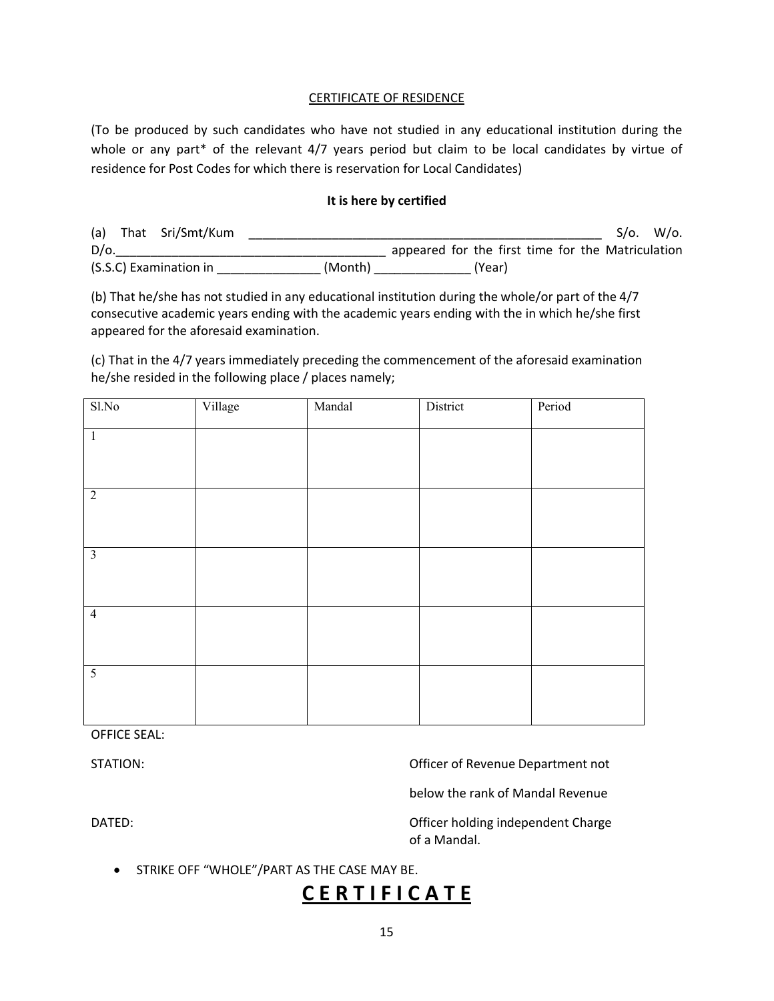#### CERTIFICATE OF RESIDENCE

(To be produced by such candidates who have not studied in any educational institution during the whole or any part\* of the relevant 4/7 years period but claim to be local candidates by virtue of residence for Post Codes for which there is reservation for Local Candidates)

#### **It is here by certified**

(a) That Sri/Smt/Kum \_\_\_\_\_\_\_\_\_\_\_\_\_\_\_\_\_\_\_\_\_\_\_\_\_\_\_\_\_\_\_\_\_\_\_\_\_\_\_\_\_\_\_\_\_\_\_\_\_\_\_ S/o. W/o. D/o.\_\_\_\_\_\_\_\_\_\_\_\_\_\_\_\_\_\_\_\_\_\_\_\_\_\_\_\_\_\_\_\_\_\_\_\_\_\_\_ appeared for the first time for the Matriculation (S.S.C) Examination in \_\_\_\_\_\_\_\_\_\_\_\_\_\_\_ (Month) \_\_\_\_\_\_\_\_\_\_\_\_\_\_ (Year)

(b) That he/she has not studied in any educational institution during the whole/or part of the 4/7 consecutive academic years ending with the academic years ending with the in which he/she first appeared for the aforesaid examination.

(c) That in the 4/7 years immediately preceding the commencement of the aforesaid examination he/she resided in the following place / places namely;

| $Sl$ . No               | Village | Mandal | District | Period |
|-------------------------|---------|--------|----------|--------|
| $\overline{1}$          |         |        |          |        |
|                         |         |        |          |        |
| $\overline{2}$          |         |        |          |        |
|                         |         |        |          |        |
| $\overline{\mathbf{3}}$ |         |        |          |        |
|                         |         |        |          |        |
| $\overline{4}$          |         |        |          |        |
|                         |         |        |          |        |
| $\overline{5}$          |         |        |          |        |
|                         |         |        |          |        |

OFFICE SEAL:

STATION: Officer of Revenue Department not

below the rank of Mandal Revenue

DATED: DATED: CHARGE CONSERVENT CONTROLLER TO CHARGE CONTROLLER CHARGE CONTROLLER TO DETAIL OF THE ORIGINAL CHARGE CONTROLLER THE ORIGINAL CONTROLLER THE ORIGINAL CONTROLLER THE ORIGINAL CONTROLLER THE ORIGINAL CONTROLLER of a Mandal.

**STRIKE OFF "WHOLE"/PART AS THE CASE MAY BE.** 

# **C E R T I F I C A T E**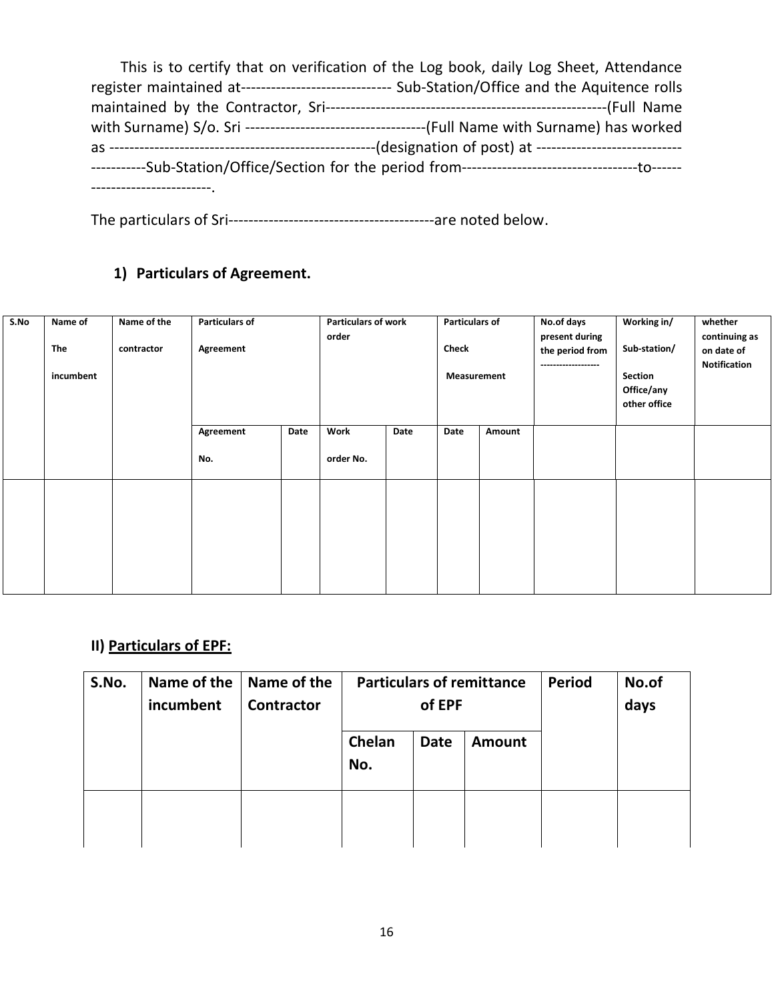| This is to certify that on verification of the Log book, daily Log Sheet, Attendance            |
|-------------------------------------------------------------------------------------------------|
| register maintained at------------------------------ Sub-Station/Office and the Aquitence rolls |
|                                                                                                 |
|                                                                                                 |
|                                                                                                 |
|                                                                                                 |
|                                                                                                 |

The particulars of Sri-----------------------------------------are noted below.

# **1) Particulars of Agreement.**

| S.No | Name of<br>The<br>incumbent | Name of the<br>contractor | <b>Particulars of</b><br>Agreement |      | <b>Particulars of work</b><br>order |      | <b>Particulars of</b><br><b>Check</b><br>Measurement |        | No.of days<br>present during<br>the period from<br>------------------- | Working in/<br>Sub-station/<br>Section<br>Office/any<br>other office | whether<br>continuing as<br>on date of<br>Notification |
|------|-----------------------------|---------------------------|------------------------------------|------|-------------------------------------|------|------------------------------------------------------|--------|------------------------------------------------------------------------|----------------------------------------------------------------------|--------------------------------------------------------|
|      |                             |                           | Agreement<br>No.                   | Date | Work<br>order No.                   | Date | Date                                                 | Amount |                                                                        |                                                                      |                                                        |
|      |                             |                           |                                    |      |                                     |      |                                                      |        |                                                                        |                                                                      |                                                        |

# **II) Particulars of EPF:**

| S.No. | Name of the<br>incumbent | Name of the<br><b>Contractor</b> | <b>Particulars of remittance</b> | of EPF      | <b>Period</b> | No.of<br>days |  |
|-------|--------------------------|----------------------------------|----------------------------------|-------------|---------------|---------------|--|
|       |                          |                                  | Chelan<br>No.                    | <b>Date</b> | <b>Amount</b> |               |  |
|       |                          |                                  |                                  |             |               |               |  |